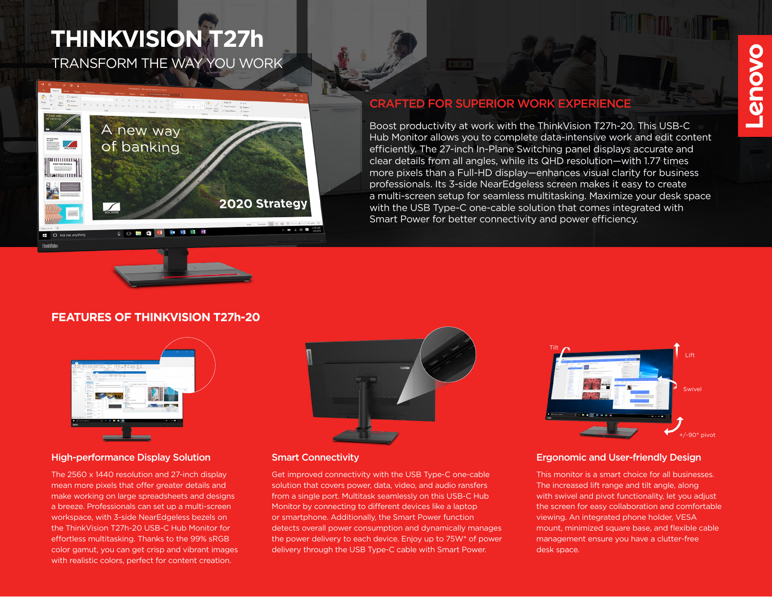# TRANSFORM THE WAY YOU WORK **THINKVISION T27h**



## CRAFTED FOR SUPERIOR WORK EXPERIENCE

Boost productivity at work with the ThinkVision T27h-20. This USB-C Hub Monitor allows you to complete data-intensive work and edit content efficiently. The 27-inch In-Plane Switching panel displays accurate and clear details from all angles, while its QHD resolution—with 1.77 times more pixels than a Full-HD display—enhances visual clarity for business professionals. Its 3-side NearEdgeless screen makes it easy to create a multi-screen setup for seamless multitasking. Maximize your desk space with the USB Type-C one-cable solution that comes integrated with Smart Power for better connectivity and power efficiency.

## **FEATURES OF THINKVISION T27h-20**



### High-performance Display Solution Smart Connectivity

The 2560 x 1440 resolution and 27-inch display mean more pixels that offer greater details and make working on large spreadsheets and designs a breeze. Professionals can set up a multi-screen workspace, with 3-side NearEdgeless bezels on the ThinkVision T27h-20 USB-C Hub Monitor for effortless multitasking. Thanks to the 99% sRGB color gamut, you can get crisp and vibrant images with realistic colors, perfect for content creation.



Get improved connectivity with the USB Type-C one-cable solution that covers power, data, video, and audio ransfers from a single port. Multitask seamlessly on this USB-C Hub Monitor by connecting to different devices like a laptop or smartphone. Additionally, the Smart Power function detects overall power consumption and dynamically manages the power delivery to each device. Enjoy up to 75W\* of power delivery through the USB Type-C cable with Smart Power.



### Ergonomic and User-friendly Design

This monitor is a smart choice for all businesses. The increased lift range and tilt angle, along with swivel and pivot functionality, let you adjust the screen for easy collaboration and comfortable viewing. An integrated phone holder, VESA mount, minimized square base, and flexible cable management ensure you have a clutter-free desk space.